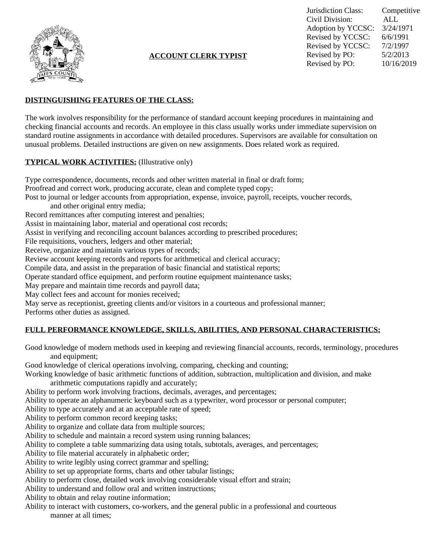

## **ACCOUNT CLERK TYPIST**

Jurisdiction Class: Competitive Civil Division: ALL Adoption by YCCSC: 3/24/1971 Revised by YCCSC: 6/6/1991 Revised by YCCSC: 7/2/1997<br>Revised by PO: 5/2/2013 Revised by PO: Revised by PO: 10/16/2019

## **DISTINGUISHING FEATURES OF THE CLASS:**

The work involves responsibility for the performance of standard account keeping procedures in maintaining and checking financial accounts and records. An employee in this class usually works under immediate supervision on standard routine assignments in accordance with detailed procedures. Supervisors are available for consultation on unusual problems. Detailed instructions are given on new assignments. Does related work as required.

#### **TYPICAL WORK ACTIVITIES:** (Illustrative only)

Type correspondence, documents, records and other written material in final or draft form; Proofread and correct work, producing accurate, clean and complete typed copy; Post to journal or ledger accounts from appropriation, expense, invoice, payroll, receipts, voucher records, and other original entry media; Record remittances after computing interest and penalties; Assist in maintaining labor, material and operational cost records; Assist in verifying and reconciling account balances according to prescribed procedures; File requisitions, vouchers, ledgers and other material; Receive, organize and maintain various types of records; Review account keeping records and reports for arithmetical and clerical accuracy; Compile data, and assist in the preparation of basic financial and statistical reports; Operate standard office equipment, and perform routine equipment maintenance tasks; May prepare and maintain time records and payroll data; May collect fees and account for monies received; May serve as receptionist, greeting clients and/or visitors in a courteous and professional manner; Performs other duties as assigned.

# **FULL PERFORMANCE KNOWLEDGE, SKILLS, ABILITIES, AND PERSONAL CHARACTERISTICS:**

Good knowledge of modern methods used in keeping and reviewing financial accounts, records, terminology, procedures and equipment;

Good knowledge of clerical operations involving, comparing, checking and counting;

Working knowledge of basic arithmetic functions of addition, subtraction, multiplication and division, and make arithmetic computations rapidly and accurately;

Ability to perform work involving fractions, decimals, averages, and percentages;

Ability to operate an alphanumeric keyboard such as a typewriter, word processor or personal computer;

Ability to type accurately and at an acceptable rate of speed;

Ability to perform common record keeping tasks;

Ability to organize and collate data from multiple sources;

Ability to schedule and maintain a record system using running balances;

Ability to complete a table summarizing data using totals, subtotals, averages, and percentages;

Ability to file material accurately in alphabetic order;

Ability to write legibly using correct grammar and spelling;

Ability to set up appropriate forms, charts and other tabular listings;

Ability to perform close, detailed work involving considerable visual effort and strain;

Ability to understand and follow oral and written instructions;

Ability to obtain and relay routine information;

Ability to interact with customers, co-workers, and the general public in a professional and courteous manner at all times;